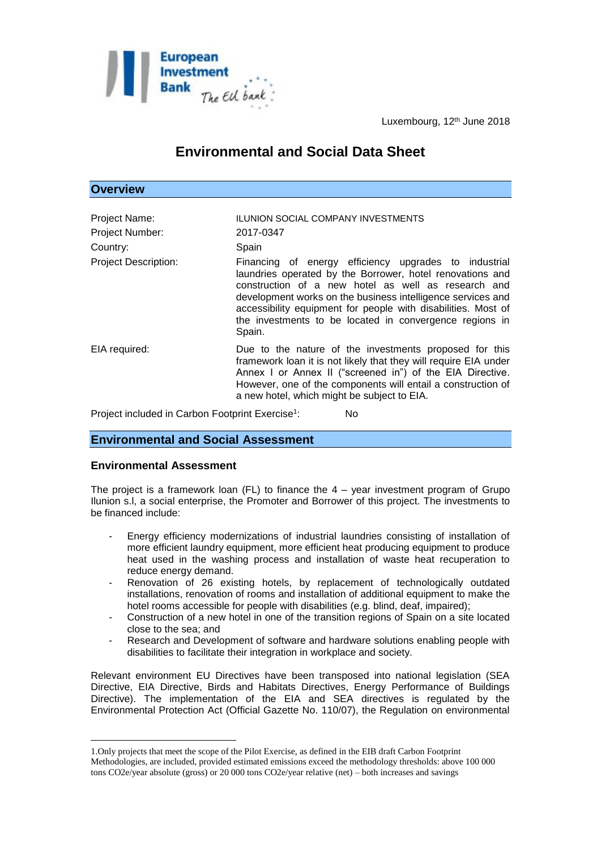

**Overview**

Luxembourg, 12<sup>th</sup> June 2018

# **Environmental and Social Data Sheet**

| <b>Project Name:</b>        | <b>ILUNION SOCIAL COMPANY INVESTMENTS</b>                                                                                                                                                                                                                                                                                                                                      |
|-----------------------------|--------------------------------------------------------------------------------------------------------------------------------------------------------------------------------------------------------------------------------------------------------------------------------------------------------------------------------------------------------------------------------|
| Project Number:             | 2017-0347                                                                                                                                                                                                                                                                                                                                                                      |
| Country:                    | Spain                                                                                                                                                                                                                                                                                                                                                                          |
| <b>Project Description:</b> | Financing of energy efficiency upgrades to industrial<br>laundries operated by the Borrower, hotel renovations and<br>construction of a new hotel as well as research and<br>development works on the business intelligence services and<br>accessibility equipment for people with disabilities. Most of<br>the investments to be located in convergence regions in<br>Spain. |
| EIA required:               | Due to the nature of the investments proposed for this<br>framework loan it is not likely that they will require EIA under<br>Annex I or Annex II ("screened in") of the EIA Directive.<br>However, one of the components will entail a construction of<br>a new hotel, which might be subject to EIA.                                                                         |
|                             |                                                                                                                                                                                                                                                                                                                                                                                |

Project included in Carbon Footprint Exercise<sup>1</sup>: : No

# **Environmental and Social Assessment**

### **Environmental Assessment**

1

The project is a framework loan  $(FL)$  to finance the  $4 -$  year investment program of Grupo Ilunion s.l, a social enterprise, the Promoter and Borrower of this project. The investments to be financed include:

- Energy efficiency modernizations of industrial laundries consisting of installation of more efficient laundry equipment, more efficient heat producing equipment to produce heat used in the washing process and installation of waste heat recuperation to reduce energy demand.
- Renovation of 26 existing hotels, by replacement of technologically outdated installations, renovation of rooms and installation of additional equipment to make the hotel rooms accessible for people with disabilities (e.g. blind, deaf, impaired);
- Construction of a new hotel in one of the transition regions of Spain on a site located close to the sea; and
- Research and Development of software and hardware solutions enabling people with disabilities to facilitate their integration in workplace and society.

Relevant environment EU Directives have been transposed into national legislation (SEA Directive, EIA Directive, Birds and Habitats Directives, Energy Performance of Buildings Directive). The implementation of the EIA and SEA directives is regulated by the Environmental Protection Act (Official Gazette No. 110/07), the Regulation on environmental

<sup>1.</sup>Only projects that meet the scope of the Pilot Exercise, as defined in the EIB draft Carbon Footprint Methodologies, are included, provided estimated emissions exceed the methodology thresholds: above 100 000 tons CO2e/year absolute (gross) or 20 000 tons CO2e/year relative (net) – both increases and savings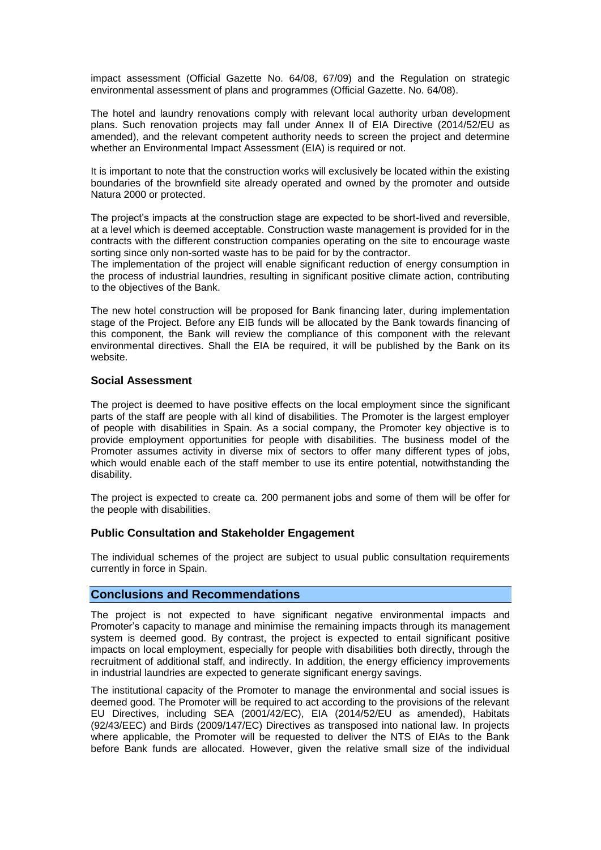impact assessment (Official Gazette No. 64/08, 67/09) and the Regulation on strategic environmental assessment of plans and programmes (Official Gazette. No. 64/08).

The hotel and laundry renovations comply with relevant local authority urban development plans. Such renovation projects may fall under Annex II of EIA Directive (2014/52/EU as amended), and the relevant competent authority needs to screen the project and determine whether an Environmental Impact Assessment (EIA) is required or not.

It is important to note that the construction works will exclusively be located within the existing boundaries of the brownfield site already operated and owned by the promoter and outside Natura 2000 or protected.

The project's impacts at the construction stage are expected to be short-lived and reversible, at a level which is deemed acceptable. Construction waste management is provided for in the contracts with the different construction companies operating on the site to encourage waste sorting since only non-sorted waste has to be paid for by the contractor.

The implementation of the project will enable significant reduction of energy consumption in the process of industrial laundries, resulting in significant positive climate action, contributing to the objectives of the Bank.

The new hotel construction will be proposed for Bank financing later, during implementation stage of the Project. Before any EIB funds will be allocated by the Bank towards financing of this component, the Bank will review the compliance of this component with the relevant environmental directives. Shall the EIA be required, it will be published by the Bank on its website.

## **Social Assessment**

The project is deemed to have positive effects on the local employment since the significant parts of the staff are people with all kind of disabilities. The Promoter is the largest employer of people with disabilities in Spain. As a social company, the Promoter key objective is to provide employment opportunities for people with disabilities. The business model of the Promoter assumes activity in diverse mix of sectors to offer many different types of jobs, which would enable each of the staff member to use its entire potential, notwithstanding the disability.

The project is expected to create ca. 200 permanent jobs and some of them will be offer for the people with disabilities.

### **Public Consultation and Stakeholder Engagement**

The individual schemes of the project are subject to usual public consultation requirements currently in force in Spain.

# **Conclusions and Recommendations**

The project is not expected to have significant negative environmental impacts and Promoter's capacity to manage and minimise the remaining impacts through its management system is deemed good. By contrast, the project is expected to entail significant positive impacts on local employment, especially for people with disabilities both directly, through the recruitment of additional staff, and indirectly. In addition, the energy efficiency improvements in industrial laundries are expected to generate significant energy savings.

The institutional capacity of the Promoter to manage the environmental and social issues is deemed good. The Promoter will be required to act according to the provisions of the relevant EU Directives, including SEA (2001/42/EC), EIA (2014/52/EU as amended), Habitats (92/43/EEC) and Birds (2009/147/EC) Directives as transposed into national law. In projects where applicable, the Promoter will be requested to deliver the NTS of EIAs to the Bank before Bank funds are allocated. However, given the relative small size of the individual